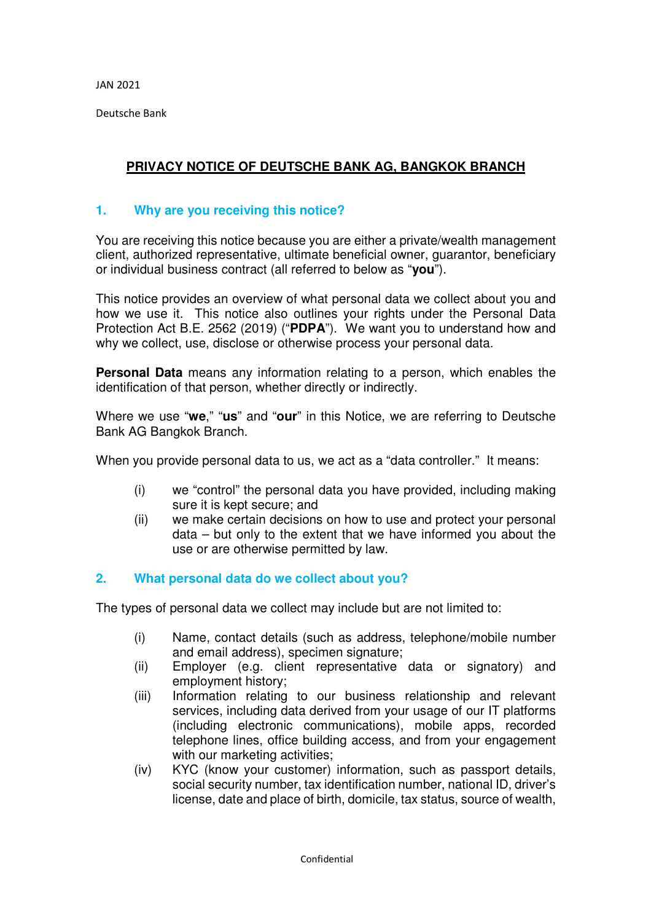Deutsche Bank

# **PRIVACY NOTICE OF DEUTSCHE BANK AG, BANGKOK BRANCH**

## **1. Why are you receiving this notice?**

You are receiving this notice because you are either a private/wealth management client, authorized representative, ultimate beneficial owner, guarantor, beneficiary or individual business contract (all referred to below as "**you**").

This notice provides an overview of what personal data we collect about you and how we use it. This notice also outlines your rights under the Personal Data Protection Act B.E. 2562 (2019) ("**PDPA**").We want you to understand how and why we collect, use, disclose or otherwise process your personal data.

**Personal Data** means any information relating to a person, which enables the identification of that person, whether directly or indirectly.

Where we use "**we**," "**us**" and "**our**" in this Notice, we are referring to Deutsche Bank AG Bangkok Branch.

When you provide personal data to us, we act as a "data controller." It means:

- (i) we "control" the personal data you have provided, including making sure it is kept secure; and
- (ii) we make certain decisions on how to use and protect your personal data – but only to the extent that we have informed you about the use or are otherwise permitted by law.

## **2. What personal data do we collect about you?**

The types of personal data we collect may include but are not limited to:

- (i) Name, contact details (such as address, telephone/mobile number and email address), specimen signature;
- (ii) Employer (e.g. client representative data or signatory) and employment history;
- (iii) Information relating to our business relationship and relevant services, including data derived from your usage of our IT platforms (including electronic communications), mobile apps, recorded telephone lines, office building access, and from your engagement with our marketing activities;
- (iv) KYC (know your customer) information, such as passport details, social security number, tax identification number, national ID, driver's license, date and place of birth, domicile, tax status, source of wealth,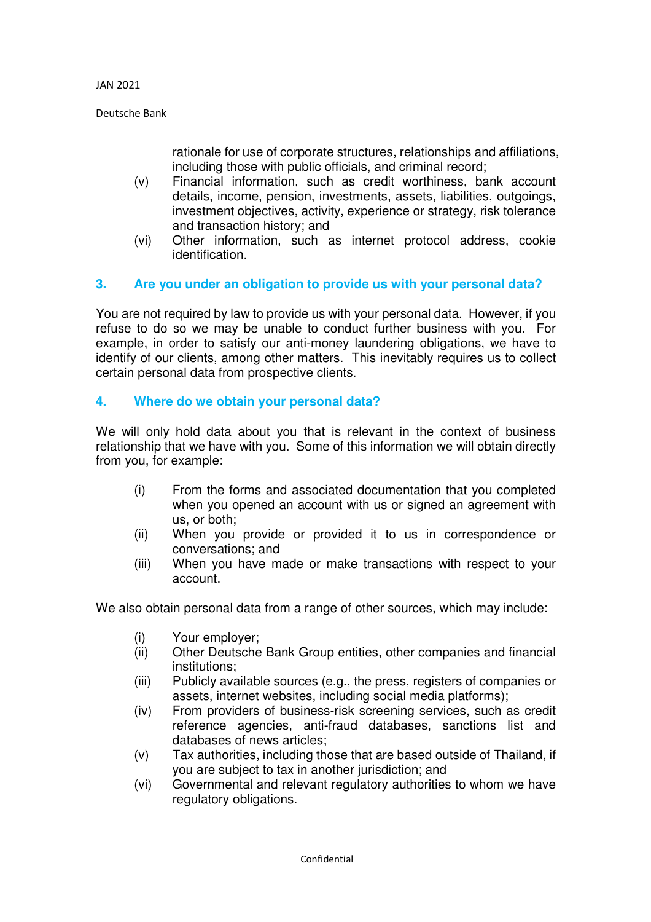Deutsche Bank

rationale for use of corporate structures, relationships and affiliations, including those with public officials, and criminal record;

- (v) Financial information, such as credit worthiness, bank account details, income, pension, investments, assets, liabilities, outgoings, investment objectives, activity, experience or strategy, risk tolerance and transaction history; and
- (vi) Other information, such as internet protocol address, cookie identification.

## **3. Are you under an obligation to provide us with your personal data?**

You are not required by law to provide us with your personal data. However, if you refuse to do so we may be unable to conduct further business with you. For example, in order to satisfy our anti-money laundering obligations, we have to identify of our clients, among other matters. This inevitably requires us to collect certain personal data from prospective clients.

## **4. Where do we obtain your personal data?**

We will only hold data about you that is relevant in the context of business relationship that we have with you. Some of this information we will obtain directly from you, for example:

- (i) From the forms and associated documentation that you completed when you opened an account with us or signed an agreement with us, or both;
- (ii) When you provide or provided it to us in correspondence or conversations; and
- (iii) When you have made or make transactions with respect to your account.

We also obtain personal data from a range of other sources, which may include:

- (i) Your employer;
- (ii) Other Deutsche Bank Group entities, other companies and financial institutions;
- (iii) Publicly available sources (e.g., the press, registers of companies or assets, internet websites, including social media platforms);
- (iv) From providers of business-risk screening services, such as credit reference agencies, anti-fraud databases, sanctions list and databases of news articles;
- (v) Tax authorities, including those that are based outside of Thailand, if you are subject to tax in another jurisdiction; and
- (vi) Governmental and relevant regulatory authorities to whom we have regulatory obligations.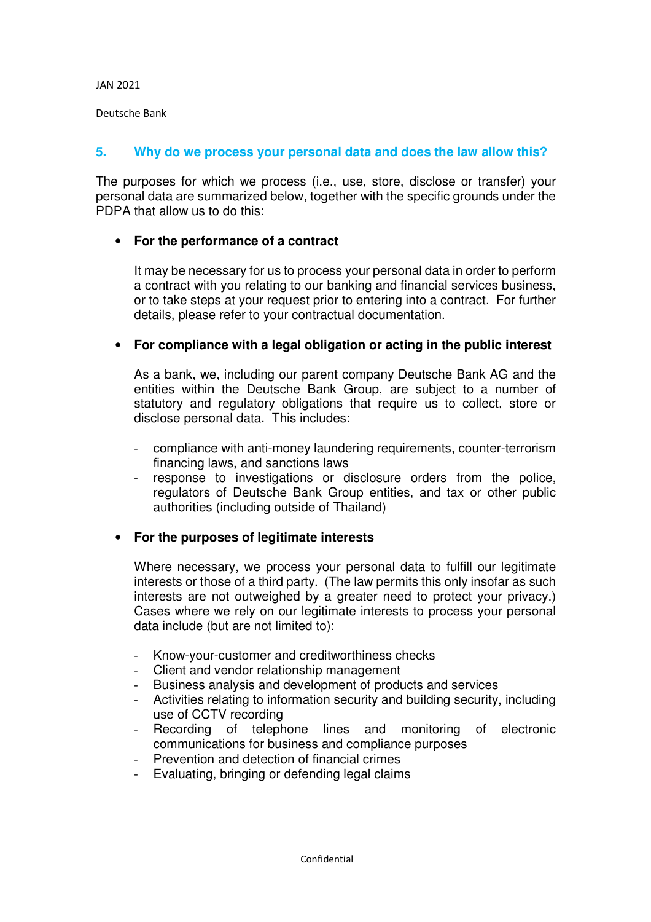Deutsche Bank

#### **5. Why do we process your personal data and does the law allow this?**

The purposes for which we process (i.e., use, store, disclose or transfer) your personal data are summarized below, together with the specific grounds under the PDPA that allow us to do this:

## • **For the performance of a contract**

It may be necessary for us to process your personal data in order to perform a contract with you relating to our banking and financial services business, or to take steps at your request prior to entering into a contract. For further details, please refer to your contractual documentation.

## • **For compliance with a legal obligation or acting in the public interest**

As a bank, we, including our parent company Deutsche Bank AG and the entities within the Deutsche Bank Group, are subject to a number of statutory and regulatory obligations that require us to collect, store or disclose personal data. This includes:

- compliance with anti-money laundering requirements, counter-terrorism financing laws, and sanctions laws
- response to investigations or disclosure orders from the police, regulators of Deutsche Bank Group entities, and tax or other public authorities (including outside of Thailand)

## • **For the purposes of legitimate interests**

Where necessary, we process your personal data to fulfill our legitimate interests or those of a third party. (The law permits this only insofar as such interests are not outweighed by a greater need to protect your privacy.) Cases where we rely on our legitimate interests to process your personal data include (but are not limited to):

- Know-your-customer and creditworthiness checks
- Client and vendor relationship management
- Business analysis and development of products and services
- Activities relating to information security and building security, including use of CCTV recording
- Recording of telephone lines and monitoring of electronic communications for business and compliance purposes
- Prevention and detection of financial crimes
- Evaluating, bringing or defending legal claims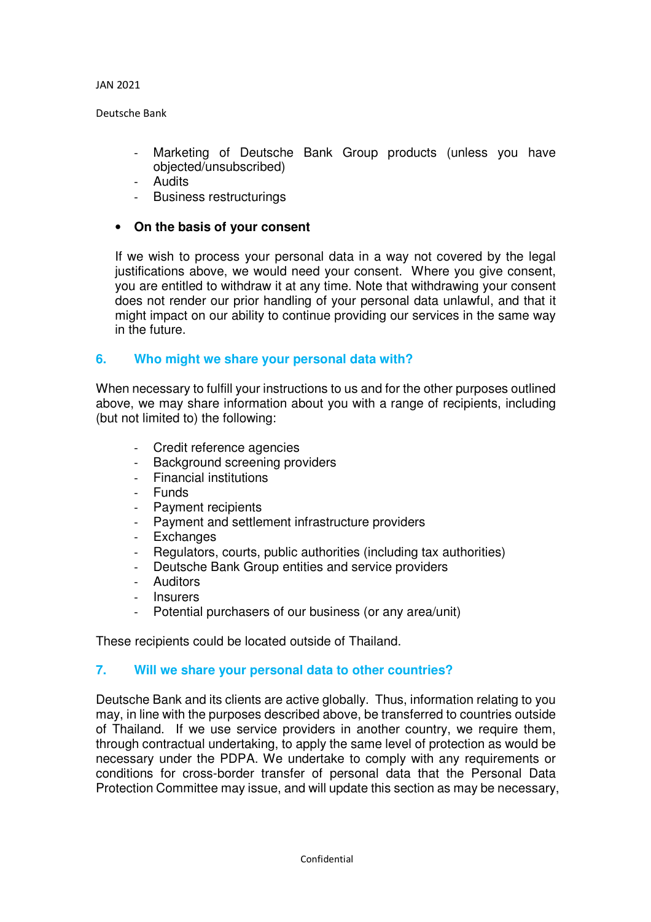Deutsche Bank

- Marketing of Deutsche Bank Group products (unless you have objected/unsubscribed)
- Audits
- Business restructurings

## • **On the basis of your consent**

If we wish to process your personal data in a way not covered by the legal justifications above, we would need your consent. Where you give consent, you are entitled to withdraw it at any time. Note that withdrawing your consent does not render our prior handling of your personal data unlawful, and that it might impact on our ability to continue providing our services in the same way in the future.

## **6. Who might we share your personal data with?**

When necessary to fulfill your instructions to us and for the other purposes outlined above, we may share information about you with a range of recipients, including (but not limited to) the following:

- Credit reference agencies
- Background screening providers
- Financial institutions
- Funds
- Payment recipients
- Payment and settlement infrastructure providers
- Exchanges
- Regulators, courts, public authorities (including tax authorities)
- Deutsche Bank Group entities and service providers
- Auditors
- **Insurers**
- Potential purchasers of our business (or any area/unit)

These recipients could be located outside of Thailand.

## **7. Will we share your personal data to other countries?**

Deutsche Bank and its clients are active globally. Thus, information relating to you may, in line with the purposes described above, be transferred to countries outside of Thailand. If we use service providers in another country, we require them, through contractual undertaking, to apply the same level of protection as would be necessary under the PDPA. We undertake to comply with any requirements or conditions for cross-border transfer of personal data that the Personal Data Protection Committee may issue, and will update this section as may be necessary,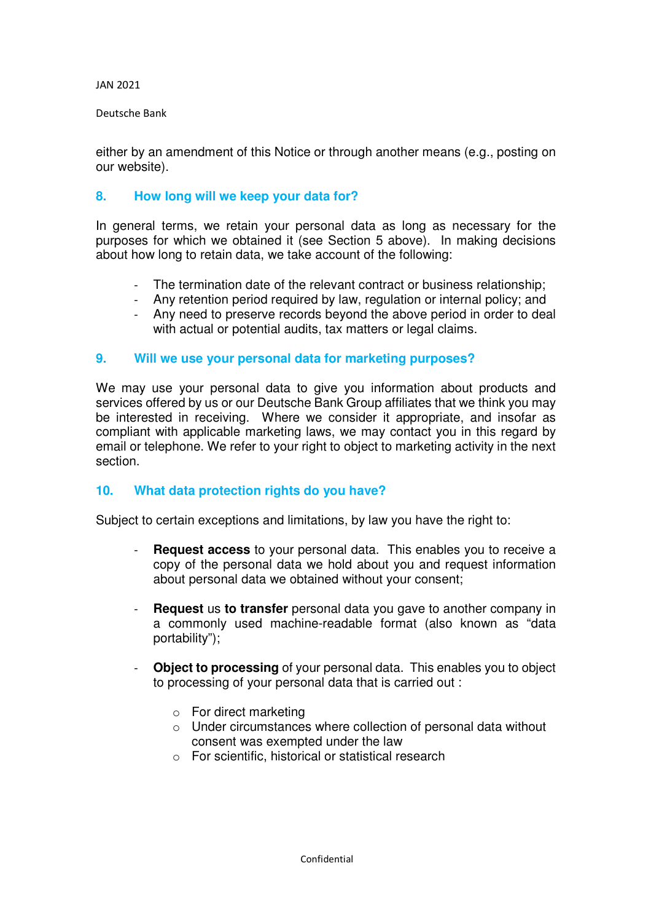#### Deutsche Bank

either by an amendment of this Notice or through another means (e.g., posting on our website).

## **8. How long will we keep your data for?**

In general terms, we retain your personal data as long as necessary for the purposes for which we obtained it (see Section 5 above). In making decisions about how long to retain data, we take account of the following:

- The termination date of the relevant contract or business relationship;
- Any retention period required by law, regulation or internal policy; and
- Any need to preserve records beyond the above period in order to deal with actual or potential audits, tax matters or legal claims.

#### **9. Will we use your personal data for marketing purposes?**

We may use your personal data to give you information about products and services offered by us or our Deutsche Bank Group affiliates that we think you may be interested in receiving. Where we consider it appropriate, and insofar as compliant with applicable marketing laws, we may contact you in this regard by email or telephone. We refer to your right to object to marketing activity in the next section.

## **10. What data protection rights do you have?**

Subject to certain exceptions and limitations, by law you have the right to:

- **Request access** to your personal data. This enables you to receive a copy of the personal data we hold about you and request information about personal data we obtained without your consent;
- **Request** us **to transfer** personal data you gave to another company in a commonly used machine-readable format (also known as "data portability");
- **Object to processing** of your personal data. This enables you to object to processing of your personal data that is carried out :
	- o For direct marketing
	- o Under circumstances where collection of personal data without consent was exempted under the law
	- o For scientific, historical or statistical research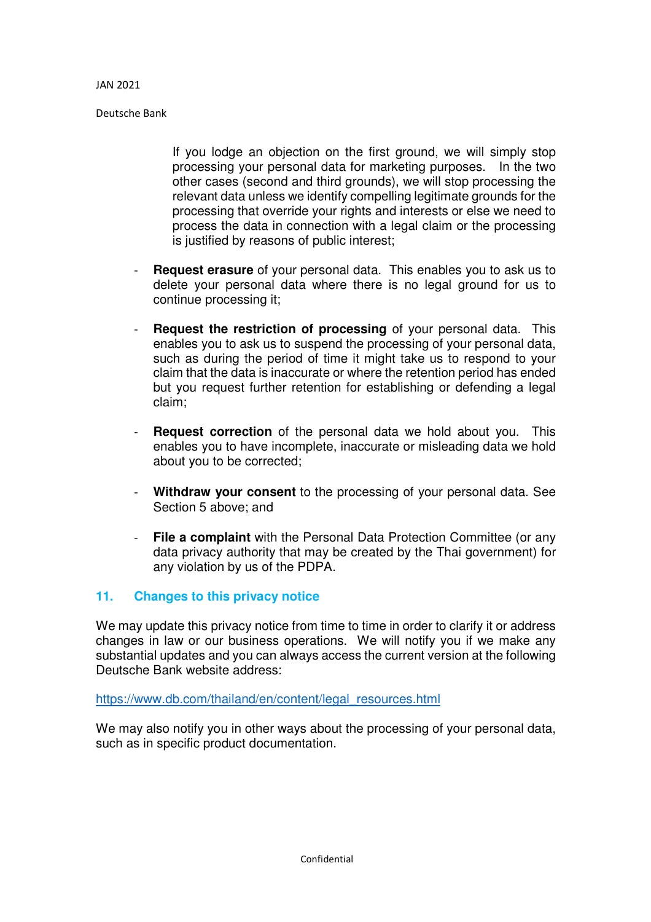Deutsche Bank

If you lodge an objection on the first ground, we will simply stop processing your personal data for marketing purposes. In the two other cases (second and third grounds), we will stop processing the relevant data unless we identify compelling legitimate grounds for the processing that override your rights and interests or else we need to process the data in connection with a legal claim or the processing is justified by reasons of public interest;

- **Request erasure** of your personal data. This enables you to ask us to delete your personal data where there is no legal ground for us to continue processing it;
- **Request the restriction of processing** of your personal data. This enables you to ask us to suspend the processing of your personal data, such as during the period of time it might take us to respond to your claim that the data is inaccurate or where the retention period has ended but you request further retention for establishing or defending a legal claim;
- **Request correction** of the personal data we hold about you. This enables you to have incomplete, inaccurate or misleading data we hold about you to be corrected;
- Withdraw your consent to the processing of your personal data. See Section 5 above; and
- **File a complaint** with the Personal Data Protection Committee (or any data privacy authority that may be created by the Thai government) for any violation by us of the PDPA.

## **11. Changes to this privacy notice**

We may update this privacy notice from time to time in order to clarify it or address changes in law or our business operations. We will notify you if we make any substantial updates and you can always access the current version at the following Deutsche Bank website address:

https://www.db.com/thailand/en/content/legal\_resources.html

We may also notify you in other ways about the processing of your personal data, such as in specific product documentation.